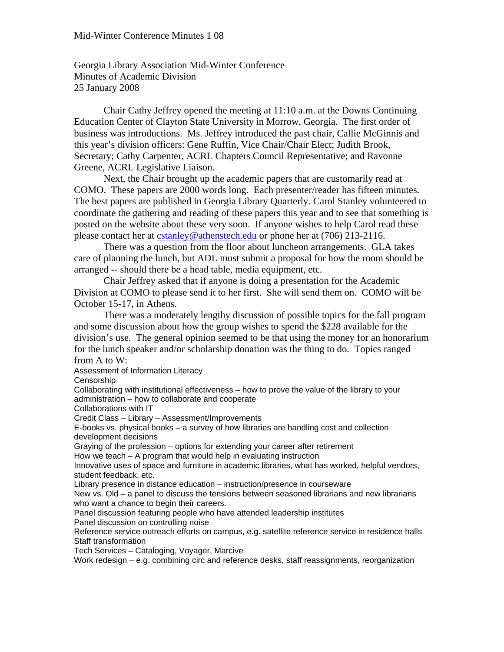Georgia Library Association Mid-Winter Conference Minutes of Academic Division 25 January 2008

Chair Cathy Jeffrey opened the meeting at 11:10 a.m. at the Downs Continuing Education Center of Clayton State University in Morrow, Georgia. The first order of business was introductions. Ms. Jeffrey introduced the past chair, Callie McGinnis and this year's division officers: Gene Ruffin, Vice Chair/Chair Elect; Judith Brook, Secretary; Cathy Carpenter, ACRL Chapters Council Representative; and Ravonne Greene, ACRL Legislative Liaison.

Next, the Chair brought up the academic papers that are customarily read at COMO. These papers are 2000 words long. Each presenter/reader has fifteen minutes. The best papers are published in Georgia Library Quarterly. Carol Stanley volunteered to coordinate the gathering and reading of these papers this year and to see that something is posted on the website about these very soon. If anyone wishes to help Carol read these please contact her at cstanley@athenstech.edu or phone her at (706) 213-2116.

 There was a question from the floor about luncheon arrangements. GLA takes care of planning the lunch, but ADL must submit a proposal for how the room should be arranged -- should there be a head table, media equipment, etc.

 Chair Jeffrey asked that if anyone is doing a presentation for the Academic Division at COMO to please send it to her first. She will send them on. COMO will be October 15-17, in Athens.

 There was a moderately lengthy discussion of possible topics for the fall program and some discussion about how the group wishes to spend the \$228 available for the division's use. The general opinion seemed to be that using the money for an honorarium for the lunch speaker and/or scholarship donation was the thing to do. Topics ranged from A to W:

Assessment of Information Literacy

**Censorship** 

Collaborating with institutional effectiveness – how to prove the value of the library to your administration – how to collaborate and cooperate

Collaborations with IT

Credit Class – Library – Assessment/Improvements

E-books vs. physical books – a survey of how libraries are handling cost and collection development decisions

Graying of the profession – options for extending your career after retirement How we teach – A program that would help in evaluating instruction

Innovative uses of space and furniture in academic libraries, what has worked, helpful vendors, student feedback, etc.

Library presence in distance education – instruction/presence in courseware

New vs. Old – a panel to discuss the tensions between seasoned librarians and new librarians who want a chance to begin their careers.

Panel discussion featuring people who have attended leadership institutes

Panel discussion on controlling noise

Reference service outreach efforts on campus, e.g. satellite reference service in residence halls Staff transformation

Tech Services – Cataloging, Voyager, Marcive

Work redesign – e.g. combining circ and reference desks, staff reassignments, reorganization